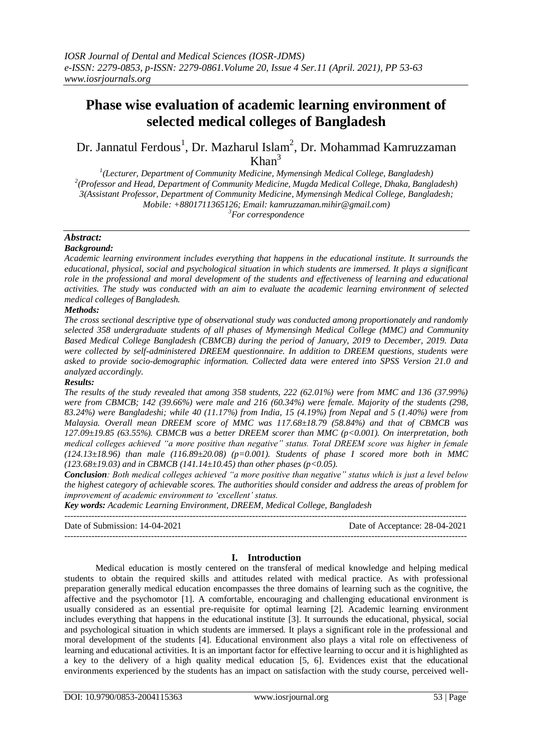# **Phase wise evaluation of academic learning environment of selected medical colleges of Bangladesh**

Dr. Jannatul Ferdous<sup>1</sup>, Dr. Mazharul Islam<sup>2</sup>, Dr. Mohammad Kamruzzaman  $Khan<sup>3</sup>$ 

*1 (Lecturer, Department of Community Medicine, Mymensingh Medical College, Bangladesh) 2 (Professor and Head, Department of Community Medicine, Mugda Medical College, Dhaka, Bangladesh) 3(Assistant Professor, Department of Community Medicine, Mymensingh Medical College, Bangladesh; Mobile: +8801711365126; Email: kamruzzaman.mihir@gmail.com) <sup>3</sup>For correspondence*

#### *Abstract: Background:*

*Academic learning environment includes everything that happens in the educational institute. It surrounds the educational, physical, social and psychological situation in which students are immersed. It plays a significant role in the professional and moral development of the students and effectiveness of learning and educational activities. The study was conducted with an aim to evaluate the academic learning environment of selected medical colleges of Bangladesh.* 

# *Methods:*

*The cross sectional descriptive type of observational study was conducted among proportionately and randomly selected 358 undergraduate students of all phases of Mymensingh Medical College (MMC) and Community Based Medical College Bangladesh (CBMCB) during the period of January, 2019 to December, 2019. Data were collected by self-administered DREEM questionnaire. In addition to DREEM questions, students were asked to provide socio-demographic information. Collected data were entered into SPSS Version 21.0 and analyzed accordingly.* 

## *Results:*

*The results of the study revealed that among 358 students, 222 (62.01%) were from MMC and 136 (37.99%) were from CBMCB; 142 (39.66%) were male and 216 (60.34%) were female. Majority of the students (298, 83.24%) were Bangladeshi; while 40 (11.17%) from India, 15 (4.19%) from Nepal and 5 (1.40%) were from Malaysia. Overall mean DREEM score of MMC was 117.68±18.79 (58.84%) and that of CBMCB was 127.09±19.85 (63.55%). CBMCB was a better DREEM scorer than MMC (p<0.001). On interpretation, both medical colleges achieved "a more positive than negative" status. Total DREEM score was higher in female*   $(124.13\pm18.96)$  than male  $(116.89\pm20.08)$  (p=0.001). Students of phase I scored more both in MMC *(123.68±19.03) and in CBMCB (141.14±10.45) than other phases (p<0.05).*

*Conclusion: Both medical colleges achieved "a more positive than negative" status which is just a level below the highest category of achievable scores. The authorities should consider and address the areas of problem for improvement of academic environment to 'excellent' status.*

*Key words: Academic Learning Environment, DREEM, Medical College, Bangladesh*

---------------------------------------------------------------------------------------------------------------------------------------

Date of Submission: 14-04-2021 Date of Acceptance: 28-04-2021 ---------------------------------------------------------------------------------------------------------------------------------------

# **I. Introduction**

 Medical education is mostly centered on the transferal of medical knowledge and helping medical students to obtain the required skills and attitudes related with medical practice. As with professional preparation generally medical education encompasses the three domains of learning such as the cognitive, the affective and the psychomotor [1]. A comfortable, encouraging and challenging educational environment is usually considered as an essential pre-requisite for optimal learning [2]. Academic learning environment includes everything that happens in the educational institute [3]. It surrounds the educational, physical, social and psychological situation in which students are immersed. It plays a significant role in the professional and moral development of the students [4]. Educational environment also plays a vital role on effectiveness of learning and educational activities. It is an important factor for effective learning to occur and it is highlighted as a key to the delivery of a high quality medical education [5, 6]. Evidences exist that the educational environments experienced by the students has an impact on satisfaction with the study course, perceived well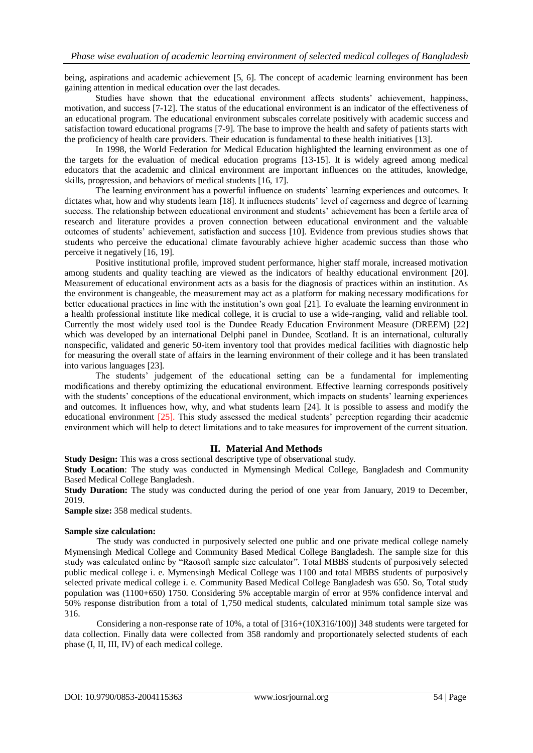being, aspirations and academic achievement [5, 6]. The concept of academic learning environment has been gaining attention in medical education over the last decades.

 Studies have shown that the educational environment affects students' achievement, happiness, motivation, and success [7-12]. The status of the educational environment is an indicator of the effectiveness of an educational program. The educational environment subscales correlate positively with academic success and satisfaction toward educational programs [7-9]. The base to improve the health and safety of patients starts with the proficiency of health care providers. Their education is fundamental to these health initiatives [13].

 In 1998, the World Federation for Medical Education highlighted the learning environment as one of the targets for the evaluation of medical education programs [13-15]. It is widely agreed among medical educators that the academic and clinical environment are important influences on the attitudes, knowledge, skills, progression, and behaviors of medical students [16, 17].

 The learning environment has a powerful influence on students' learning experiences and outcomes. It dictates what, how and why students learn [18]. It influences students' level of eagerness and degree of learning success. The relationship between educational environment and students' achievement has been a fertile area of research and literature provides a proven connection between educational environment and the valuable outcomes of students' achievement, satisfaction and success [10]. Evidence from previous studies shows that students who perceive the educational climate favourably achieve higher academic success than those who perceive it negatively [16, 19].

 Positive institutional profile, improved student performance, higher staff morale, increased motivation among students and quality teaching are viewed as the indicators of healthy educational environment [20]. Measurement of educational environment acts as a basis for the diagnosis of practices within an institution. As the environment is changeable, the measurement may act as a platform for making necessary modifications for better educational practices in line with the institution's own goal [21]. To evaluate the learning environment in a health professional institute like medical college, it is crucial to use a wide-ranging, valid and reliable tool. Currently the most widely used tool is the Dundee Ready Education Environment Measure (DREEM) [22] which was developed by an international Delphi panel in Dundee, Scotland. It is an international, culturally nonspecific, validated and generic 50-item inventory tool that provides medical facilities with diagnostic help for measuring the overall state of affairs in the learning environment of their college and it has been translated into various languages [23].

 The students' judgement of the educational setting can be a fundamental for implementing modifications and thereby optimizing the educational environment. Effective learning corresponds positively with the students' conceptions of the educational environment, which impacts on students' learning experiences and outcomes. It influences how, why, and what students learn [24]. It is possible to assess and modify the educational environment [25]. This study assessed the medical students' perception regarding their academic environment which will help to detect limitations and to take measures for improvement of the current situation.

# **II. Material And Methods**

**Study Design:** This was a cross sectional descriptive type of observational study.

**Study Location**: The study was conducted in Mymensingh Medical College, Bangladesh and Community Based Medical College Bangladesh.

**Study Duration:** The study was conducted during the period of one year from January, 2019 to December, 2019.

**Sample size:** 358 medical students.

#### **Sample size calculation:**

The study was conducted in purposively selected one public and one private medical college namely Mymensingh Medical College and Community Based Medical College Bangladesh. The sample size for this study was calculated online by "Raosoft sample size calculator". Total MBBS students of purposively selected public medical college i. e. Mymensingh Medical College was 1100 and total MBBS students of purposively selected private medical college i. e. Community Based Medical College Bangladesh was 650. So, Total study population was (1100+650) 1750. Considering 5% acceptable margin of error at 95% confidence interval and 50% response distribution from a total of 1,750 medical students, calculated minimum total sample size was 316.

Considering a non-response rate of 10%, a total of [316+(10X316/100)] 348 students were targeted for data collection. Finally data were collected from 358 randomly and proportionately selected students of each phase (I, II, III, IV) of each medical college.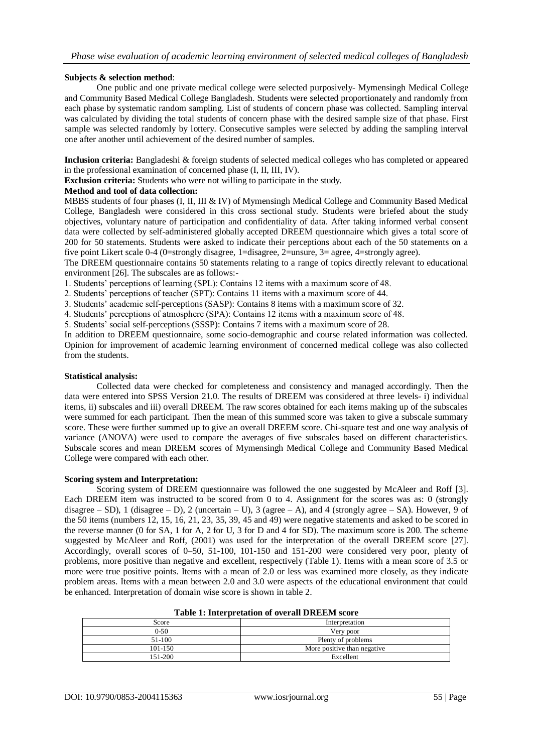## **Subjects & selection method**:

One public and one private medical college were selected purposively- Mymensingh Medical College and Community Based Medical College Bangladesh. Students were selected proportionately and randomly from each phase by systematic random sampling. List of students of concern phase was collected. Sampling interval was calculated by dividing the total students of concern phase with the desired sample size of that phase. First sample was selected randomly by lottery. Consecutive samples were selected by adding the sampling interval one after another until achievement of the desired number of samples.

**Inclusion criteria:** Bangladeshi & foreign students of selected medical colleges who has completed or appeared in the professional examination of concerned phase (I, II, III, IV).

**Exclusion criteria:** Students who were not willing to participate in the study.

## **Method and tool of data collection:**

MBBS students of four phases (I, II, III & IV) of Mymensingh Medical College and Community Based Medical College, Bangladesh were considered in this cross sectional study. Students were briefed about the study objectives, voluntary nature of participation and confidentiality of data. After taking informed verbal consent data were collected by self-administered globally accepted DREEM questionnaire which gives a total score of 200 for 50 statements. Students were asked to indicate their perceptions about each of the 50 statements on a five point Likert scale 0-4 (0=strongly disagree, 1=disagree, 2=unsure, 3= agree, 4=strongly agree).

The DREEM questionnaire contains 50 statements relating to a range of topics directly relevant to educational environment [26]. The subscales are as follows:-

1. Students' perceptions of learning (SPL): Contains 12 items with a maximum score of 48.

2. Students' perceptions of teacher (SPT): Contains 11 items with a maximum score of 44.

3. Students' academic self-perceptions (SASP): Contains 8 items with a maximum score of 32.

4. Students' perceptions of atmosphere (SPA): Contains 12 items with a maximum score of 48.

5. Students' social self-perceptions (SSSP): Contains 7 items with a maximum score of 28.

In addition to DREEM questionnaire, some socio-demographic and course related information was collected. Opinion for improvement of academic learning environment of concerned medical college was also collected from the students.

#### **Statistical analysis:**

Collected data were checked for completeness and consistency and managed accordingly. Then the data were entered into SPSS Version 21.0. The results of DREEM was considered at three levels- i) individual items, ii) subscales and iii) overall DREEM. The raw scores obtained for each items making up of the subscales were summed for each participant. Then the mean of this summed score was taken to give a subscale summary score. These were further summed up to give an overall DREEM score. Chi-square test and one way analysis of variance (ANOVA) were used to compare the averages of five subscales based on different characteristics. Subscale scores and mean DREEM scores of Mymensingh Medical College and Community Based Medical College were compared with each other.

## **Scoring system and Interpretation:**

Scoring system of DREEM questionnaire was followed the one suggested by McAleer and Roff [3]. Each DREEM item was instructed to be scored from 0 to 4. Assignment for the scores was as: 0 (strongly disagree – SD), 1 (disagree – D), 2 (uncertain – U), 3 (agree – A), and 4 (strongly agree – SA). However, 9 of the 50 items (numbers 12, 15, 16, 21, 23, 35, 39, 45 and 49) were negative statements and asked to be scored in the reverse manner (0 for SA, 1 for A, 2 for U, 3 for D and 4 for SD). The maximum score is 200. The scheme suggested by McAleer and Roff, (2001) was used for the interpretation of the overall DREEM score [27]. Accordingly, overall scores of 0–50, 51-100, 101-150 and 151-200 were considered very poor, plenty of problems, more positive than negative and excellent, respectively (Table 1). Items with a mean score of 3.5 or more were true positive points. Items with a mean of 2.0 or less was examined more closely, as they indicate problem areas. Items with a mean between 2.0 and 3.0 were aspects of the educational environment that could be enhanced. Interpretation of domain wise score is shown in table 2.

| Score       | Interpretation              |  |  |  |  |
|-------------|-----------------------------|--|--|--|--|
| $0 - 50$    | Very poor                   |  |  |  |  |
| 51-100      | Plenty of problems          |  |  |  |  |
| $101 - 150$ | More positive than negative |  |  |  |  |
| 151-200     | Excellent                   |  |  |  |  |

## **Table 1: Interpretation of overall DREEM score**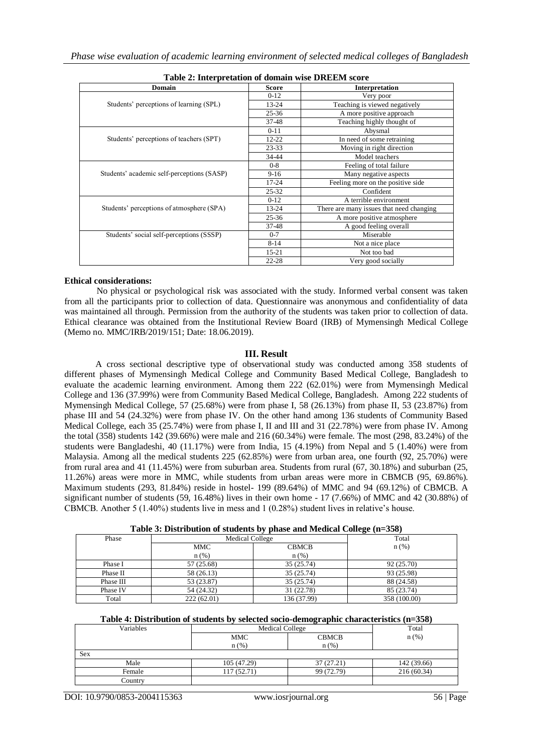| Table 2. Hitch pretation of gomain wise Divident score |              |                                          |  |  |  |  |
|--------------------------------------------------------|--------------|------------------------------------------|--|--|--|--|
| <b>Domain</b>                                          | <b>Score</b> | <b>Interpretation</b>                    |  |  |  |  |
|                                                        | $0-12$       | Very poor                                |  |  |  |  |
| Students' perceptions of learning (SPL)                | $13 - 24$    | Teaching is viewed negatively            |  |  |  |  |
|                                                        | $25 - 36$    | A more positive approach                 |  |  |  |  |
|                                                        | 37-48        | Teaching highly thought of               |  |  |  |  |
|                                                        | $0 - 11$     | Abysmal                                  |  |  |  |  |
| Students' perceptions of teachers (SPT)                | $12 - 22$    | In need of some retraining               |  |  |  |  |
|                                                        | $23 - 33$    | Moving in right direction                |  |  |  |  |
|                                                        | 34-44        | Model teachers                           |  |  |  |  |
|                                                        | $0 - 8$      | Feeling of total failure                 |  |  |  |  |
| Students' academic self-perceptions (SASP)             | $9-16$       | Many negative aspects                    |  |  |  |  |
|                                                        | 17-24        | Feeling more on the positive side        |  |  |  |  |
|                                                        | $25 - 32$    | Confident                                |  |  |  |  |
|                                                        | $0-12$       | A terrible environment                   |  |  |  |  |
| Students' perceptions of atmosphere (SPA)              | $13 - 24$    | There are many issues that need changing |  |  |  |  |
|                                                        | $25 - 36$    | A more positive atmosphere               |  |  |  |  |
|                                                        | 37-48        | A good feeling overall                   |  |  |  |  |
| Students' social self-perceptions (SSSP)               | $0 - 7$      | Miserable                                |  |  |  |  |
|                                                        | $8 - 14$     | Not a nice place                         |  |  |  |  |
|                                                        | $15 - 21$    | Not too bad                              |  |  |  |  |
|                                                        | $22 - 28$    | Very good socially                       |  |  |  |  |

**Table 2: Interpretation of domain wise DREEM score**

## **Ethical considerations:**

No physical or psychological risk was associated with the study. Informed verbal consent was taken from all the participants prior to collection of data. Questionnaire was anonymous and confidentiality of data was maintained all through. Permission from the authority of the students was taken prior to collection of data. Ethical clearance was obtained from the Institutional Review Board (IRB) of Mymensingh Medical College (Memo no. MMC/IRB/2019/151; Date: 18.06.2019).

## **III. Result**

 A cross sectional descriptive type of observational study was conducted among 358 students of different phases of Mymensingh Medical College and Community Based Medical College, Bangladesh to evaluate the academic learning environment. Among them 222 (62.01%) were from Mymensingh Medical College and 136 (37.99%) were from Community Based Medical College, Bangladesh. Among 222 students of Mymensingh Medical College, 57 (25.68%) were from phase I, 58 (26.13%) from phase II, 53 (23.87%) from phase III and 54 (24.32%) were from phase IV. On the other hand among 136 students of Community Based Medical College, each 35 (25.74%) were from phase I, II and III and 31 (22.78%) were from phase IV. Among the total (358) students 142 (39.66%) were male and 216 (60.34%) were female. The most (298, 83.24%) of the students were Bangladeshi, 40 (11.17%) were from India, 15 (4.19%) from Nepal and 5 (1.40%) were from Malaysia. Among all the medical students 225 (62.85%) were from urban area, one fourth (92, 25.70%) were from rural area and 41 (11.45%) were from suburban area. Students from rural (67, 30.18%) and suburban (25, 11.26%) areas were more in MMC, while students from urban areas were more in CBMCB (95, 69.86%). Maximum students (293, 81.84%) reside in hostel- 199 (89.64%) of MMC and 94 (69.12%) of CBMCB. A significant number of students (59, 16.48%) lives in their own home - 17 (7.66%) of MMC and 42 (30.88%) of CBMCB. Another 5 (1.40%) students live in mess and 1 (0.28%) student lives in relative's house.

| Phase     | Medical College | Total        |              |
|-----------|-----------------|--------------|--------------|
|           | MMC             | <b>CBMCB</b> | n(%)         |
|           | $n$ (%)         | $n$ (%)      |              |
| Phase I   | 57 (25.68)      | 35 (25.74)   | 92 (25.70)   |
| Phase II  | 58 (26.13)      | 35 (25.74)   | 93 (25.98)   |
| Phase III | 53 (23.87)      | 35(25.74)    | 88 (24.58)   |
| Phase IV  | 54 (24.32)      | 31 (22.78)   | 85 (23.74)   |
| Total     | 222(62.01)      | 136 (37.99)  | 358 (100.00) |

#### **Table 4: Distribution of students by selected socio-demographic characteristics (n=358)**

| Variables | <b>Medical College</b> | Total        |             |
|-----------|------------------------|--------------|-------------|
|           | MMC                    | <b>CBMCB</b> | $n$ (%)     |
|           | n(%)                   | $n$ (%)      |             |
| Sex       |                        |              |             |
| Male      | 105 (47.29)            | 37(27.21)    | 142 (39.66) |
| Female    | 117 (52.71)            | 99 (72.79)   | 216(60.34)  |
| Country   |                        |              |             |

DOI: 10.9790/0853-2004115363 www.iosrjournal.org 56 | Page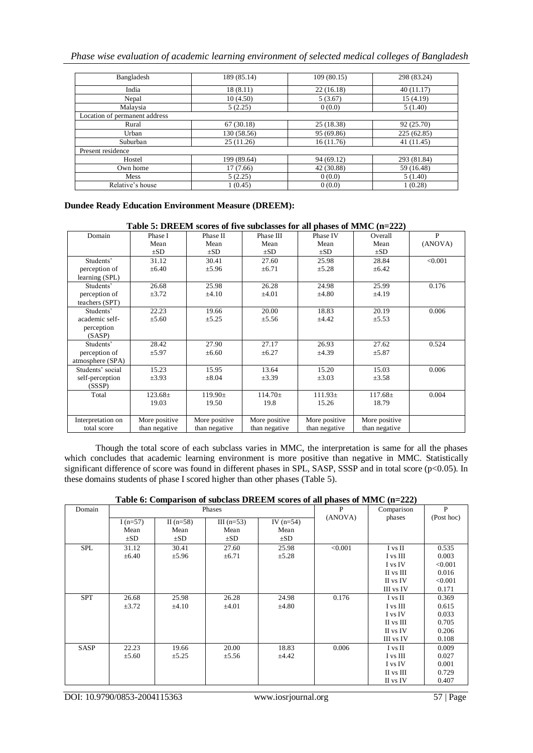*Phase wise evaluation of academic learning environment of selected medical colleges of Bangladesh*

| Bangladesh                    | 189 (85.14) | 109(80.15) | 298 (83.24) |
|-------------------------------|-------------|------------|-------------|
| India                         | 18(8.11)    | 22(16.18)  | 40(11.17)   |
| Nepal                         | 10(4.50)    | 5(3.67)    | 15(4.19)    |
| Malaysia                      | 5(2.25)     | 0(0.0)     | 5(1.40)     |
| Location of permanent address |             |            |             |
| Rural                         | 67(30.18)   | 25 (18.38) | 92 (25.70)  |
| Urban                         | 130 (58.56) | 95 (69.86) | 225(62.85)  |
| Suburban                      | 25(11.26)   | 16(11.76)  | 41 (11.45)  |
| Present residence             |             |            |             |
| Hostel                        | 199 (89.64) | 94 (69.12) | 293 (81.84) |
| Own home                      | 17(7.66)    | 42 (30.88) | 59 (16.48)  |
| Mess                          | 5(2.25)     | 0(0.0)     | 5(1.40)     |
| Relative's house              | 1(0.45)     | 0(0.0)     | 1(0.28)     |

# **Dundee Ready Education Environment Measure (DREEM):**

## **Table 5: DREEM scores of five subclasses for all phases of MMC (n=222)**

| Domain            | Phase I       | Phase II      | Phase III     | Phase IV      | Overall       | P       |
|-------------------|---------------|---------------|---------------|---------------|---------------|---------|
|                   | Mean          | Mean          | Mean          | Mean          | Mean          | (ANOVA) |
|                   | $\pm SD$      | $\pm SD$      | $\pm SD$      | $\pm SD$      | $\pm SD$      |         |
| Students'         | 31.12         | 30.41         | 27.60         | 25.98         | 28.84         | < 0.001 |
| perception of     | $\pm 6.40$    | ±5.96         | $\pm 6.71$    | $\pm 5.28$    | $\pm 6.42$    |         |
| learning (SPL)    |               |               |               |               |               |         |
| Students'         | 26.68         | 25.98         | 26.28         | 24.98         | 25.99         | 0.176   |
| perception of     | $\pm 3.72$    | $\pm 4.10$    | $\pm 4.01$    | $\pm 4.80$    | ±4.19         |         |
| teachers (SPT)    |               |               |               |               |               |         |
| Students'         | 22.23         | 19.66         | 20.00         | 18.83         | 20.19         | 0.006   |
| academic self-    | $\pm 5.60$    | $\pm 5.25$    | $\pm 5.56$    | $\pm 4.42$    | $\pm 5.53$    |         |
| perception        |               |               |               |               |               |         |
| (SASP)            |               |               |               |               |               |         |
| Students'         | 28.42         | 27.90         | 27.17         | 26.93         | 27.62         | 0.524   |
| perception of     | $\pm$ 5.97    | $\pm 6.60$    | $\pm 6.27$    | $\pm 4.39$    | $\pm$ 5.87    |         |
| atmosphere (SPA)  |               |               |               |               |               |         |
| Students' social  | 15.23         | 15.95         | 13.64         | 15.20         | 15.03         | 0.006   |
| self-perception   | $\pm 3.93$    | $\pm 8.04$    | $\pm 3.39$    | $\pm 3.03$    | $\pm 3.58$    |         |
| (SSSP)            |               |               |               |               |               |         |
| Total             | $123.68 \pm$  | $119.90 \pm$  | $114.70 \pm$  | $111.93\pm$   | $117.68 \pm$  | 0.004   |
|                   | 19.03         | 19.50         | 19.8          | 15.26         | 18.79         |         |
|                   |               |               |               |               |               |         |
| Interpretation on | More positive | More positive | More positive | More positive | More positive |         |
| total score       | than negative | than negative | than negative | than negative | than negative |         |

 Though the total score of each subclass varies in MMC, the interpretation is same for all the phases which concludes that academic learning environment is more positive than negative in MMC. Statistically significant difference of score was found in different phases in SPL, SASP, SSSP and in total score ( $p$ <0.05). In these domains students of phase I scored higher than other phases (Table 5).

|  | Table 6: Comparison of subclass DREEM scores of all phases of MMC $(n=222)$ |  |  |
|--|-----------------------------------------------------------------------------|--|--|
|--|-----------------------------------------------------------------------------|--|--|

| Domain     |            |             | Phases       |             | $\mathbf{P}$ | Comparison | P          |
|------------|------------|-------------|--------------|-------------|--------------|------------|------------|
|            | I $(n=57)$ | II $(n=58)$ | III $(n=53)$ | IV $(n=54)$ | (ANOVA)      | phases     | (Post hoc) |
|            | Mean       | Mean        | Mean         | Mean        |              |            |            |
|            | $\pm SD$   | $\pm SD$    | $\pm SD$     | $\pm SD$    |              |            |            |
| <b>SPL</b> | 31.12      | 30.41       | 27.60        | 25.98       | < 0.001      | I vs II    | 0.535      |
|            | $\pm 6.40$ | $\pm$ 5.96  | $\pm 6.71$   | $\pm 5.28$  |              | I vs III   | 0.003      |
|            |            |             |              |             |              | I vs IV    | < 0.001    |
|            |            |             |              |             |              | II vs III  | 0.016      |
|            |            |             |              |             |              | II vs IV   | < 0.001    |
|            |            |             |              |             |              | III vs IV  | 0.171      |
| <b>SPT</b> | 26.68      | 25.98       | 26.28        | 24.98       | 0.176        | I vs II    | 0.369      |
|            | $\pm 3.72$ | $\pm 4.10$  | $\pm 4.01$   | $\pm 4.80$  |              | I vs III   | 0.615      |
|            |            |             |              |             |              | I vs IV    | 0.033      |
|            |            |             |              |             |              | II vs III  | 0.705      |
|            |            |             |              |             |              | II vs IV   | 0.206      |
|            |            |             |              |             |              | III vs IV  | 0.108      |
| SASP       | 22.23      | 19.66       | 20.00        | 18.83       | 0.006        | I vs II    | 0.009      |
|            | $\pm 5.60$ | $\pm 5.25$  | $\pm 5.56$   | $\pm 4.42$  |              | I vs III   | 0.027      |
|            |            |             |              |             |              | I vs IV    | 0.001      |
|            |            |             |              |             |              | II vs III  | 0.729      |
|            |            |             |              |             |              | II vs IV   | 0.407      |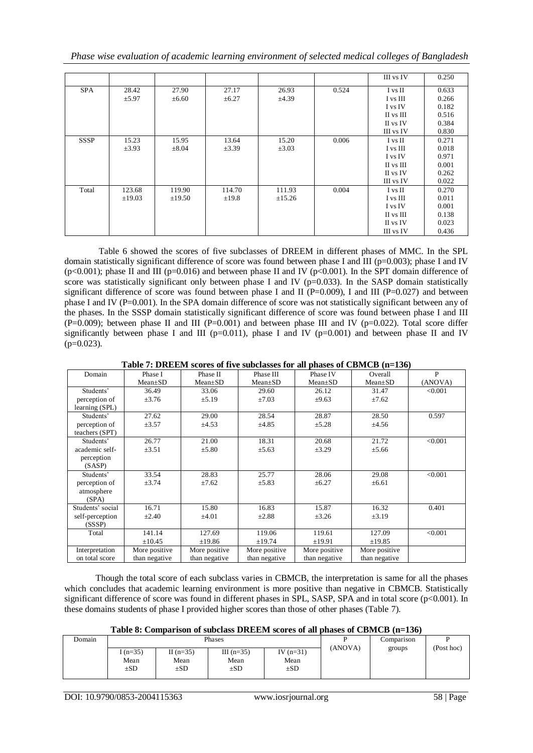*Phase wise evaluation of academic learning environment of selected medical colleges of Bangladesh*

|             |             |             |            |             |       | III vs IV | 0.250 |
|-------------|-------------|-------------|------------|-------------|-------|-----------|-------|
| <b>SPA</b>  | 28.42       | 27.90       | 27.17      | 26.93       | 0.524 | I vs II   | 0.633 |
|             | $\pm$ 5.97  | $\pm 6.60$  | $\pm 6.27$ | ±4.39       |       | I vs III  | 0.266 |
|             |             |             |            |             |       | I vs IV   | 0.182 |
|             |             |             |            |             |       | II vs III | 0.516 |
|             |             |             |            |             |       | II vs IV  | 0.384 |
|             |             |             |            |             |       | III vs IV | 0.830 |
| <b>SSSP</b> | 15.23       | 15.95       | 13.64      | 15.20       | 0.006 | I vs II   | 0.271 |
|             | $\pm 3.93$  | $\pm 8.04$  | $\pm 3.39$ | $\pm 3.03$  |       | I vs III  | 0.018 |
|             |             |             |            |             |       | I vs IV   | 0.971 |
|             |             |             |            |             |       | II vs III | 0.001 |
|             |             |             |            |             |       | II vs IV  | 0.262 |
|             |             |             |            |             |       | III vs IV | 0.022 |
| Total       | 123.68      | 119.90      | 114.70     | 111.93      | 0.004 | I vs II   | 0.270 |
|             | $\pm 19.03$ | $\pm 19.50$ | $\pm$ 19.8 | $\pm 15.26$ |       | I vs III  | 0.011 |
|             |             |             |            |             |       | I vs IV   | 0.001 |
|             |             |             |            |             |       | II vs III | 0.138 |
|             |             |             |            |             |       | II vs IV  | 0.023 |
|             |             |             |            |             |       | III vs IV | 0.436 |

Table 6 showed the scores of five subclasses of DREEM in different phases of MMC. In the SPL domain statistically significant difference of score was found between phase I and III ( $p=0.003$ ); phase I and IV (p<0.001); phase II and III (p=0.016) and between phase II and IV (p<0.001). In the SPT domain difference of score was statistically significant only between phase I and IV ( $p=0.033$ ). In the SASP domain statistically significant difference of score was found between phase I and II (P=0.009), I and III (P=0.027) and between phase I and IV (P=0.001). In the SPA domain difference of score was not statistically significant between any of the phases. In the SSSP domain statistically significant difference of score was found between phase I and III  $(P=0.009)$ ; between phase II and III  $(P=0.001)$  and between phase III and IV (p=0.022). Total score differ significantly between phase I and III ( $p=0.011$ ), phase I and IV ( $p=0.001$ ) and between phase II and IV  $(p=0.023)$ .

**Table 7: DREEM scores of five subclasses for all phases of CBMCB (n=136)**

| Domain           | Phase I       | Phase II      | Phase III     | Phase IV      | Overall       | P       |
|------------------|---------------|---------------|---------------|---------------|---------------|---------|
|                  | $Mean \pm SD$ | $Mean \pm SD$ | $Mean \pm SD$ | $Mean \pm SD$ | $Mean \pm SD$ | (ANOVA) |
| Students'        | 36.49         | 33.06         | 29.60         | 26.12         | 31.47         | < 0.001 |
| perception of    | $\pm 3.76$    | $\pm 5.19$    | $\pm 7.03$    | $\pm 9.63$    | ±7.62         |         |
| learning (SPL)   |               |               |               |               |               |         |
| Students'        | 27.62         | 29.00         | 28.54         | 28.87         | 28.50         | 0.597   |
| perception of    | $\pm 3.57$    | $\pm 4.53$    | ±4.85         | $\pm 5.28$    | ±4.56         |         |
| teachers (SPT)   |               |               |               |               |               |         |
| Students'        | 26.77         | 21.00         | 18.31         | 20.68         | 21.72         | < 0.001 |
| academic self-   | $\pm 3.51$    | $\pm 5.80$    | $\pm 5.63$    | $\pm 3.29$    | $\pm 5.66$    |         |
| perception       |               |               |               |               |               |         |
| (SASP)           |               |               |               |               |               |         |
| Students'        | 33.54         | 28.83         | 25.77         | 28.06         | 29.08         | < 0.001 |
| perception of    | $\pm 3.74$    | ±7.62         | $\pm 5.83$    | $\pm 6.27$    | $\pm 6.61$    |         |
| atmosphere       |               |               |               |               |               |         |
| (SPA)            |               |               |               |               |               |         |
| Students' social | 16.71         | 15.80         | 16.83         | 15.87         | 16.32         | 0.401   |
| self-perception  | $\pm 2.40$    | $\pm 4.01$    | $\pm 2.88$    | $\pm 3.26$    | $\pm 3.19$    |         |
| (SSSP)           |               |               |               |               |               |         |
| Total            | 141.14        | 127.69        | 119.06        | 119.61        | 127.09        | < 0.001 |
|                  | $\pm 10.45$   | ±19.86        | ±19.74        | ±19.91        | ±19.85        |         |
| Interpretation   | More positive | More positive | More positive | More positive | More positive |         |
| on total score   | than negative | than negative | than negative | than negative | than negative |         |

 Though the total score of each subclass varies in CBMCB, the interpretation is same for all the phases which concludes that academic learning environment is more positive than negative in CBMCB. Statistically significant difference of score was found in different phases in SPL, SASP, SPA and in total score (p<0.001). In these domains students of phase I provided higher scores than those of other phases (Table 7).

|  | Table 8: Comparison of subclass DREEM scores of all phases of CBMCB (n=136) |  |  |
|--|-----------------------------------------------------------------------------|--|--|
|  |                                                                             |  |  |

| Domain |                              |                                 | Phases                           | Comparison                      |         |        |            |
|--------|------------------------------|---------------------------------|----------------------------------|---------------------------------|---------|--------|------------|
|        | $(n=35)$<br>Mean<br>$\pm SD$ | II $(n=35)$<br>Mean<br>$\pm SD$ | III $(n=35)$<br>Mean<br>$\pm SD$ | IV $(n=31)$<br>Mean<br>$\pm$ SD | (ANOVA) | groups | (Post hoc) |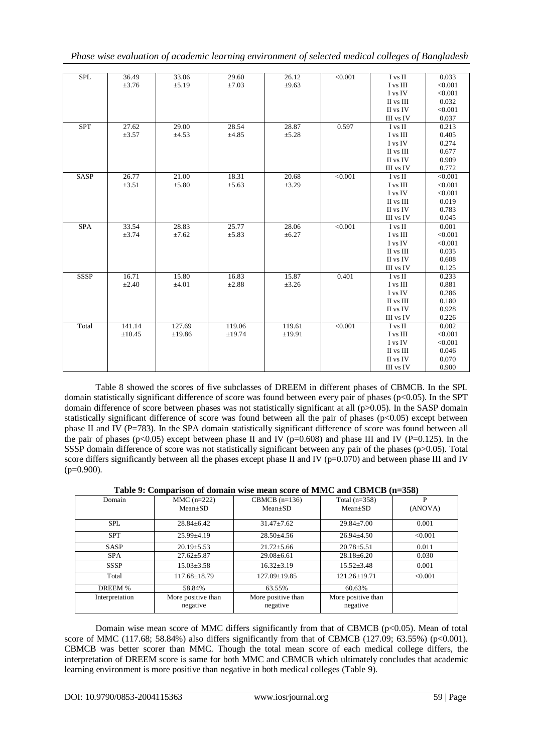|  |  | Phase wise evaluation of academic learning environment of selected medical colleges of Bangladesh |  |  |  |
|--|--|---------------------------------------------------------------------------------------------------|--|--|--|
|  |  |                                                                                                   |  |  |  |

| <b>SPL</b>  | 36.49       | 33.06      | 29.60      | 26.12      | < 0.001 | I vs II   | 0.033   |
|-------------|-------------|------------|------------|------------|---------|-----------|---------|
|             | $\pm 3.76$  | ±5.19      | $\pm 7.03$ | $\pm 9.63$ |         | I vs III  | < 0.001 |
|             |             |            |            |            |         | I vs IV   | < 0.001 |
|             |             |            |            |            |         | II vs III | 0.032   |
|             |             |            |            |            |         | II vs IV  | < 0.001 |
|             |             |            |            |            |         | III vs IV | 0.037   |
| <b>SPT</b>  | 27.62       | 29.00      | 28.54      | 28.87      | 0.597   | I vs II   | 0.213   |
|             | $\pm 3.57$  | $\pm 4.53$ | $\pm 4.85$ | $\pm 5.28$ |         | I vs III  | 0.405   |
|             |             |            |            |            |         | I vs IV   | 0.274   |
|             |             |            |            |            |         | II vs III | 0.677   |
|             |             |            |            |            |         | II vs IV  | 0.909   |
|             |             |            |            |            |         | III vs IV | 0.772   |
| <b>SASP</b> | 26.77       | 21.00      | 18.31      | 20.68      | < 0.001 | I vs II   | < 0.001 |
|             | $\pm 3.51$  | ±5.80      | $\pm 5.63$ | $\pm 3.29$ |         | I vs III  | < 0.001 |
|             |             |            |            |            |         | I vs IV   | < 0.001 |
|             |             |            |            |            |         | II vs III | 0.019   |
|             |             |            |            |            |         | II vs IV  | 0.783   |
|             |             |            |            |            |         | III vs IV | 0.045   |
| <b>SPA</b>  | 33.54       | 28.83      | 25.77      | 28.06      | < 0.001 | I vs II   | 0.001   |
|             | $\pm 3.74$  | ±7.62      | ±5.83      | $\pm 6.27$ |         | I vs III  | < 0.001 |
|             |             |            |            |            |         | I vs IV   | < 0.001 |
|             |             |            |            |            |         | II vs III | 0.035   |
|             |             |            |            |            |         | II vs IV  | 0.608   |
|             |             |            |            |            |         | III vs IV | 0.125   |
| <b>SSSP</b> | 16.71       | 15.80      | 16.83      | 15.87      | 0.401   | I vs II   | 0.233   |
|             | $\pm 2.40$  | ±4.01      | $\pm 2.88$ | $\pm 3.26$ |         | I vs III  | 0.881   |
|             |             |            |            |            |         | I vs IV   | 0.286   |
|             |             |            |            |            |         | II vs III | 0.180   |
|             |             |            |            |            |         | II vs IV  | 0.928   |
|             |             |            |            |            |         | III vs IV | 0.226   |
| Total       | 141.14      | 127.69     | 119.06     | 119.61     | < 0.001 | I vs II   | 0.002   |
|             | $\pm 10.45$ | ±19.86     | ±19.74     | ±19.91     |         | I vs III  | < 0.001 |
|             |             |            |            |            |         | I vs IV   | < 0.001 |
|             |             |            |            |            |         | II vs III | 0.046   |
|             |             |            |            |            |         | II vs IV  | 0.070   |
|             |             |            |            |            |         | III vs IV | 0.900   |

 Table 8 showed the scores of five subclasses of DREEM in different phases of CBMCB. In the SPL domain statistically significant difference of score was found between every pair of phases ( $p<0.05$ ). In the SPT domain difference of score between phases was not statistically significant at all (p>0.05). In the SASP domain statistically significant difference of score was found between all the pair of phases ( $p<0.05$ ) except between phase II and IV (P=783). In the SPA domain statistically significant difference of score was found between all the pair of phases (p<0.05) except between phase II and IV (p=0.608) and phase III and IV (P=0.125). In the SSSP domain difference of score was not statistically significant between any pair of the phases (p>0.05). Total score differs significantly between all the phases except phase II and IV ( $p=0.070$ ) and between phase III and IV  $(p=0.900)$ .

**Table 9: Comparison of domain wise mean score of MMC and CBMCB (n=358)**

| Domain         | $MMC$ (n=222)<br>CBMCB $(n=136)$ |                    | Total $(n=358)$    | P       |
|----------------|----------------------------------|--------------------|--------------------|---------|
|                | $Mean \pm SD$                    | $Mean \pm SD$      | $Mean \pm SD$      | (ANOVA) |
|                |                                  |                    |                    |         |
| <b>SPL</b>     | $28.84 \pm 6.42$                 | $31.47 \pm 7.62$   | $29.84 \pm 7.00$   | 0.001   |
| <b>SPT</b>     | $25.99 \pm 4.19$                 | $28.50 \pm 4.56$   | $26.94 \pm 4.50$   | < 0.001 |
| <b>SASP</b>    | $20.19 \pm 5.53$                 | $21.72 \pm 5.66$   | $20.78 \pm 5.51$   | 0.011   |
| <b>SPA</b>     | $27.62 \pm 5.87$                 | $29.08 \pm 6.61$   | $28.18 \pm 6.20$   | 0.030   |
| <b>SSSP</b>    | $15.03 \pm 3.58$                 | $16.32 + 3.19$     | $15.52 \pm 3.48$   | 0.001   |
| Total          | $117.68 \pm 18.79$               | $127.09 \pm 19.85$ | $121.26 \pm 19.71$ | < 0.001 |
| DREEM %        | 58.84%                           | 63.55%             | 60.63%             |         |
| Interpretation | More positive than               | More positive than | More positive than |         |
|                | negative                         | negative           | negative           |         |

Domain wise mean score of MMC differs significantly from that of CBMCB (p<0.05). Mean of total score of MMC (117.68; 58.84%) also differs significantly from that of CBMCB (127.09; 63.55%) (p<0.001). CBMCB was better scorer than MMC. Though the total mean score of each medical college differs, the interpretation of DREEM score is same for both MMC and CBMCB which ultimately concludes that academic learning environment is more positive than negative in both medical colleges (Table 9).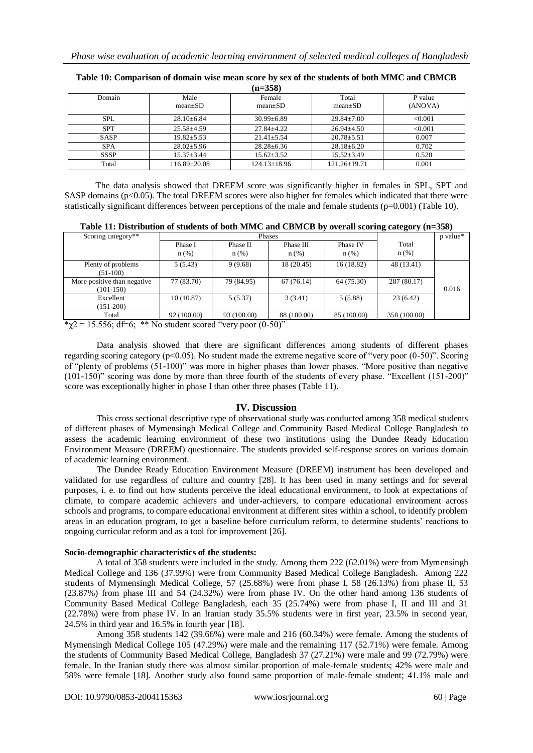| (11–JJ0)    |                    |                    |                    |         |  |  |  |  |
|-------------|--------------------|--------------------|--------------------|---------|--|--|--|--|
| Domain      | Male               | Female             | Total              | P value |  |  |  |  |
|             | $mean+SD$          | $mean \pm SD$      | $mean \pm SD$      | (ANOVA) |  |  |  |  |
| <b>SPL</b>  | $28.10\pm 6.84$    | $30.99 \pm 6.89$   | $29.84 \pm 7.00$   | < 0.001 |  |  |  |  |
| <b>SPT</b>  | $25.58 \pm 4.59$   | $27.84 + 4.22$     | $26.94 + 4.50$     | < 0.001 |  |  |  |  |
| <b>SASP</b> | $19.82 \pm 5.53$   | $21.41 + 5.54$     | $20.78 \pm 5.51$   | 0.007   |  |  |  |  |
| <b>SPA</b>  | $28.02 \pm 5.96$   | $28.28 \pm 6.36$   | $28.18 \pm 6.20$   | 0.702   |  |  |  |  |
| <b>SSSP</b> | $15.37 \pm 3.44$   | $15.62 \pm 3.52$   | $15.52 \pm 3.49$   | 0.520   |  |  |  |  |
| Total       | $116.89 \pm 20.08$ | $124.13 \pm 18.96$ | $121.26 \pm 19.71$ | 0.001   |  |  |  |  |

| Table 10: Comparison of domain wise mean score by sex of the students of both MMC and CBMCB |
|---------------------------------------------------------------------------------------------|
| $(n=358)$                                                                                   |

 The data analysis showed that DREEM score was significantly higher in females in SPL, SPT and SASP domains (p<0.05). The total DREEM scores were also higher for females which indicated that there were statistically significant differences between perceptions of the male and female students (p=0.001) (Table 10).

| Table 11: Distribution of students of both MMC and CBMCB by overall scoring category (n=358) |  |  |
|----------------------------------------------------------------------------------------------|--|--|
|                                                                                              |  |  |

| Scoring category**          |                    | Phases              |                   | p value*            |                             |       |
|-----------------------------|--------------------|---------------------|-------------------|---------------------|-----------------------------|-------|
|                             | Phase I<br>$n$ (%) | Phase II<br>$n$ (%) | Phase III<br>n(%) | Phase IV<br>$n$ (%) | Total<br>$n\left(\%\right)$ |       |
|                             |                    |                     |                   |                     |                             |       |
| Plenty of problems          | 5(5.43)            | 9(9.68)             | 18 (20.45)        | 16(18.82)           | 48 (13.41)                  |       |
| $(51-100)$                  |                    |                     |                   |                     |                             |       |
| More positive than negative | 77 (83.70)         | 79 (84.95)          | 67(76.14)         | 64 (75.30)          | 287 (80.17)                 |       |
| $(101-150)$                 |                    |                     |                   |                     |                             | 0.016 |
| Excellent                   | 10(10.87)          | 5(5.37)             | 3(3.41)           | 5(5.88)             | 23(6.42)                    |       |
| $(151-200)$                 |                    |                     |                   |                     |                             |       |
| Total                       | 92 (100.00)        | 93 (100.00)         | 88 (100.00)       | 85 (100.00)         | 358 (100.00)                |       |

 $\gamma$ 2 = 15.556; df=6; \*\* No student scored "very poor (0-50)"

Data analysis showed that there are significant differences among students of different phases regarding scoring category (p<0.05). No student made the extreme negative score of "very poor (0-50)". Scoring of "plenty of problems (51-100)" was more in higher phases than lower phases. "More positive than negative (101-150)" scoring was done by more than three fourth of the students of every phase. "Excellent (151-200)" score was exceptionally higher in phase I than other three phases (Table 11).

## **IV. Discussion**

This cross sectional descriptive type of observational study was conducted among 358 medical students of different phases of Mymensingh Medical College and Community Based Medical College Bangladesh to assess the academic learning environment of these two institutions using the Dundee Ready Education Environment Measure (DREEM) questionnaire. The students provided self-response scores on various domain of academic learning environment.

The Dundee Ready Education Environment Measure (DREEM) instrument has been developed and validated for use regardless of culture and country [28]. It has been used in many settings and for several purposes, i. e. to find out how students perceive the ideal educational environment, to look at expectations of climate, to compare academic achievers and under-achievers, to compare educational environment across schools and programs, to compare educational environment at different sites within a school, to identify problem areas in an education program, to get a baseline before curriculum reform, to determine students' reactions to ongoing curricular reform and as a tool for improvement [26].

## **Socio-demographic characteristics of the students:**

A total of 358 students were included in the study. Among them 222 (62.01%) were from Mymensingh Medical College and 136 (37.99%) were from Community Based Medical College Bangladesh. Among 222 students of Mymensingh Medical College, 57 (25.68%) were from phase I, 58 (26.13%) from phase II, 53 (23.87%) from phase III and 54 (24.32%) were from phase IV. On the other hand among 136 students of Community Based Medical College Bangladesh, each 35 (25.74%) were from phase I, II and III and 31 (22.78%) were from phase IV. In an Iranian study 35.5% students were in first year, 23.5% in second year, 24.5% in third year and 16.5% in fourth year [18].

Among 358 students 142 (39.66%) were male and 216 (60.34%) were female. Among the students of Mymensingh Medical College 105 (47.29%) were male and the remaining 117 (52.71%) were female. Among the students of Community Based Medical College, Bangladesh 37 (27.21%) were male and 99 (72.79%) were female. In the Iranian study there was almost similar proportion of male-female students; 42% were male and 58% were female [18]. Another study also found same proportion of male-female student; 41.1% male and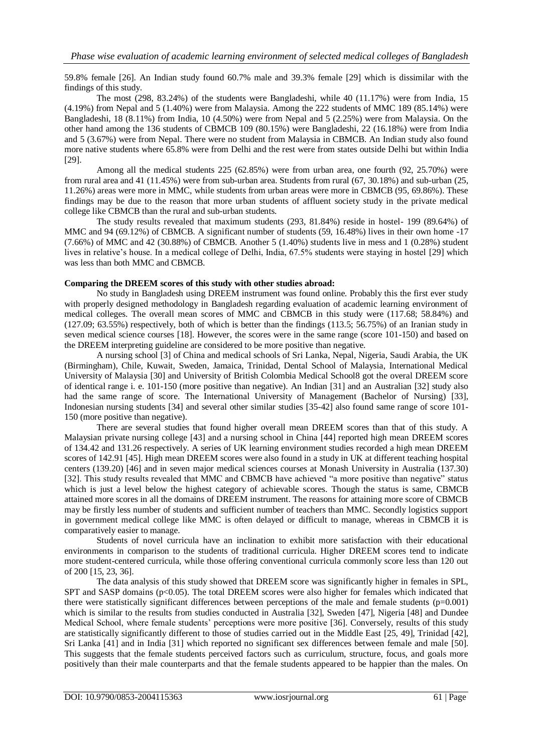59.8% female [26]. An Indian study found 60.7% male and 39.3% female [29] which is dissimilar with the findings of this study.

The most (298, 83.24%) of the students were Bangladeshi, while 40 (11.17%) were from India, 15 (4.19%) from Nepal and 5 (1.40%) were from Malaysia. Among the 222 students of MMC 189 (85.14%) were Bangladeshi, 18 (8.11%) from India, 10 (4.50%) were from Nepal and 5 (2.25%) were from Malaysia. On the other hand among the 136 students of CBMCB 109 (80.15%) were Bangladeshi, 22 (16.18%) were from India and 5 (3.67%) were from Nepal. There were no student from Malaysia in CBMCB. An Indian study also found more native students where 65.8% were from Delhi and the rest were from states outside Delhi but within India [29].

Among all the medical students 225 (62.85%) were from urban area, one fourth (92, 25.70%) were from rural area and 41 (11.45%) were from sub-urban area. Students from rural (67, 30.18%) and sub-urban (25, 11.26%) areas were more in MMC, while students from urban areas were more in CBMCB (95, 69.86%). These findings may be due to the reason that more urban students of affluent society study in the private medical college like CBMCB than the rural and sub-urban students.

The study results revealed that maximum students (293, 81.84%) reside in hostel- 199 (89.64%) of MMC and 94 (69.12%) of CBMCB. A significant number of students (59, 16.48%) lives in their own home -17 (7.66%) of MMC and 42 (30.88%) of CBMCB. Another 5 (1.40%) students live in mess and 1 (0.28%) student lives in relative's house. In a medical college of Delhi, India, 67.5% students were staying in hostel [29] which was less than both MMC and CBMCB.

## **Comparing the DREEM scores of this study with other studies abroad:**

No study in Bangladesh using DREEM instrument was found online. Probably this the first ever study with properly designed methodology in Bangladesh regarding evaluation of academic learning environment of medical colleges. The overall mean scores of MMC and CBMCB in this study were (117.68; 58.84%) and (127.09; 63.55%) respectively, both of which is better than the findings (113.5; 56.75%) of an Iranian study in seven medical science courses [18]. However, the scores were in the same range (score 101-150) and based on the DREEM interpreting guideline are considered to be more positive than negative.

A nursing school [3] of China and medical schools of Sri Lanka, Nepal, Nigeria, Saudi Arabia, the UK (Birmingham), Chile, Kuwait, Sweden, Jamaica, Trinidad, Dental School of Malaysia, International Medical University of Malaysia [30] and University of British Colombia Medical School8 got the overal DREEM score of identical range i. e. 101-150 (more positive than negative). An Indian [31] and an Australian [32] study also had the same range of score. The International University of Management (Bachelor of Nursing) [33], Indonesian nursing students [34] and several other similar studies [35-42] also found same range of score 101- 150 (more positive than negative).

There are several studies that found higher overall mean DREEM scores than that of this study. A Malaysian private nursing college [43] and a nursing school in China [44] reported high mean DREEM scores of 134.42 and 131.26 respectively. A series of UK learning environment studies recorded a high mean DREEM scores of 142.91 [45]. High mean DREEM scores were also found in a study in UK at different teaching hospital centers (139.20) [46] and in seven major medical sciences courses at Monash University in Australia (137.30) [32]. This study results revealed that MMC and CBMCB have achieved "a more positive than negative" status which is just a level below the highest category of achievable scores. Though the status is same, CBMCB attained more scores in all the domains of DREEM instrument. The reasons for attaining more score of CBMCB may be firstly less number of students and sufficient number of teachers than MMC. Secondly logistics support in government medical college like MMC is often delayed or difficult to manage, whereas in CBMCB it is comparatively easier to manage.

Students of novel curricula have an inclination to exhibit more satisfaction with their educational environments in comparison to the students of traditional curricula. Higher DREEM scores tend to indicate more student-centered curricula, while those offering conventional curricula commonly score less than 120 out of 200 [15, 23, 36].

The data analysis of this study showed that DREEM score was significantly higher in females in SPL, SPT and SASP domains ( $p<0.05$ ). The total DREEM scores were also higher for females which indicated that there were statistically significant differences between perceptions of the male and female students (p=0.001) which is similar to the results from studies conducted in Australia [32], Sweden [47], Nigeria [48] and Dundee Medical School, where female students' perceptions were more positive [36]. Conversely, results of this study are statistically significantly different to those of studies carried out in the Middle East [25, 49], Trinidad [42], Sri Lanka [41] and in India [31] which reported no significant sex differences between female and male [50]. This suggests that the female students perceived factors such as curriculum, structure, focus, and goals more positively than their male counterparts and that the female students appeared to be happier than the males. On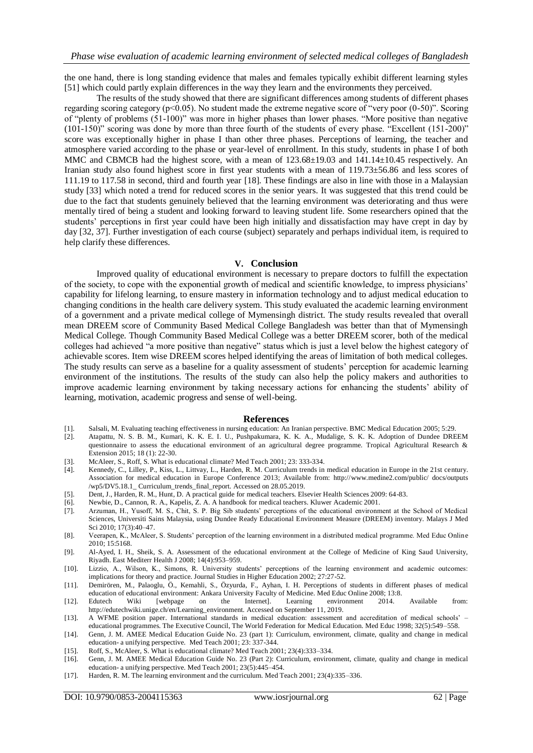the one hand, there is long standing evidence that males and females typically exhibit different learning styles [51] which could partly explain differences in the way they learn and the environments they perceived.

The results of the study showed that there are significant differences among students of different phases regarding scoring category (p<0.05). No student made the extreme negative score of "very poor (0-50)". Scoring of "plenty of problems (51-100)" was more in higher phases than lower phases. "More positive than negative (101-150)" scoring was done by more than three fourth of the students of every phase. "Excellent (151-200)" score was exceptionally higher in phase I than other three phases. Perceptions of learning, the teacher and atmosphere varied according to the phase or year-level of enrollment. In this study, students in phase I of both MMC and CBMCB had the highest score, with a mean of  $123.68\pm19.03$  and  $141.14\pm10.45$  respectively. An Iranian study also found highest score in first year students with a mean of 119.73±56.86 and less scores of 111.19 to 117.58 in second, third and fourth year [18]. These findings are also in line with those in a Malaysian study [33] which noted a trend for reduced scores in the senior years. It was suggested that this trend could be due to the fact that students genuinely believed that the learning environment was deteriorating and thus were mentally tired of being a student and looking forward to leaving student life. Some researchers opined that the students' perceptions in first year could have been high initially and dissatisfaction may have crept in day by day [32, 37]. Further investigation of each course (subject) separately and perhaps individual item, is required to help clarify these differences.

#### **V. Conclusion**

Improved quality of educational environment is necessary to prepare doctors to fulfill the expectation of the society, to cope with the exponential growth of medical and scientific knowledge, to impress physicians' capability for lifelong learning, to ensure mastery in information technology and to adjust medical education to changing conditions in the health care delivery system. This study evaluated the academic learning environment of a government and a private medical college of Mymensingh district. The study results revealed that overall mean DREEM score of Community Based Medical College Bangladesh was better than that of Mymensingh Medical College. Though Community Based Medical College was a better DREEM scorer, both of the medical colleges had achieved "a more positive than negative" status which is just a level below the highest category of achievable scores. Item wise DREEM scores helped identifying the areas of limitation of both medical colleges. The study results can serve as a baseline for a quality assessment of students' perception for academic learning environment of the institutions. The results of the study can also help the policy makers and authorities to improve academic learning environment by taking necessary actions for enhancing the students' ability of learning, motivation, academic progress and sense of well-being.

#### **References**

- [1]. Salsali, M. Evaluating teaching effectiveness in nursing education: An Iranian perspective. BMC Medical Education 2005; 5:29.
- [2]. Atapattu, N. S. B. M., Kumari, K. K. E. I. U., Pushpakumara, K. K. A., Mudalige, S. K. K. Adoption of Dundee DREEM questionnaire to assess the educational environment of an agricultural degree programme. Tropical Agricultural Research & Extension 2015; 18 (1): 22-30.
- [3]. McAleer, S., Roff, S. What is educational climate? Med Teach 2001; 23: 333-334.
- Kennedy, C., Lilley, P., Kiss, L., Littvay, L., Harden, R. M. Curriculum trends in medical education in Europe in the 21st century. Association for medical education in Europe Conference 2013; Available from: http://www.medine2.com/public/ docs/outputs /wp5/DV5.18.1\_ Curriculum\_trends\_final\_report. Accessed on 28.05.2019.
- [5]. Dent, J., Harden, R. M., Hunt, D. A practical guide for medical teachers. Elsevier Health Sciences 2009: 64-83.
- [6]. Newbie, D., Cannon, R. A., Kapelis, Z. A. A handbook for medical teachers. Kluwer Academic 2001.
- [7]. Arzuman, H., Yusoff, M. S., Chit, S. P. Big Sib students' perceptions of the educational environment at the School of Medical Sciences, Universiti Sains Malaysia, using Dundee Ready Educational Environment Measure (DREEM) inventory. Malays J Med Sci 2010; 17(3):40–47.
- [8]. Veerapen, K., McAleer, S. Students' perception of the learning environment in a distributed medical programme. Med Educ Online 2010; 15:5168.
- [9]. Al-Ayed, I. H., Sheik, S. A. Assessment of the educational environment at the College of Medicine of King Saud University, Riyadh. East Mediterr Health J 2008; 14(4):953–959.
- [10]. Lizzio, A., Wilson, K., Simons, R. University students' perceptions of the learning environment and academic outcomes: implications for theory and practice. Journal Studies in Higher Education 2002; 27:27-52.
- [11]. Demirören, M., Palaoglu, Ö., Kemahli, S., Özyurda, F., Ayhan, I. H. Perceptions of students in different phases of medical education of educational environment: Ankara University Faculty of Medicine. Med Educ Online 2008; 13:8.<br>Edutech Wiki [webpage on the Internet]. Learning environment 2014.
- [12]. Edutech Wiki [webpage on the Internet]. Learning environment 2014. Available from: http://edutechwiki.unige.ch/en/Learning\_environment. Accessed on September 11, 2019.
- [13]. A WFME position paper. International standards in medical education: assessment and accreditation of medical schools' educational programmes. The Executive Council, The World Federation for Medical Education. Med Educ 1998; 32(5):549–558.
- [14]. Genn, J. M. AMEE Medical Education Guide No. 23 (part 1): Curriculum, environment, climate, quality and change in medical education- a unifying perspective. Med Teach 2001; 23: 337-344.
- [15]. Roff, S., McAleer, S. What is educational climate? Med Teach 2001; 23(4):333–334.
- [16]. Genn, J. M. AMEE Medical Education Guide No. 23 (Part 2): Curriculum, environment, climate, quality and change in medical education- a unifying perspective. Med Teach 2001; 23(5):445–454.
- [17]. Harden, R. M. The learning environment and the curriculum. Med Teach 2001; 23(4):335–336.